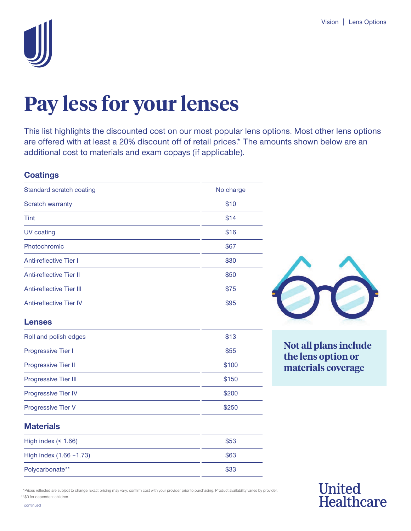

# **Pay less for your lenses**

This list highlights the discounted cost on our most popular lens options. Most other lens options are offered with at least a 20% discount off of retail prices.\* The amounts shown below are an additional cost to materials and exam copays (if applicable).

### **Coatings**

| Standard scratch coating        | No charge |
|---------------------------------|-----------|
| <b>Scratch warranty</b>         | \$10      |
| Tint                            | \$14      |
| <b>UV</b> coating               | \$16      |
| Photochromic                    | \$67      |
| <b>Anti-reflective Tier I</b>   | \$30      |
| <b>Anti-reflective Tier II</b>  | \$50      |
| <b>Anti-reflective Tier III</b> | \$75      |
| <b>Anti-reflective Tier IV</b>  | \$95      |
| <b>Lenses</b>                   |           |
| Roll and polish edges           | \$13      |
| Progressive Tier I              | \$55      |
| Progressive Tier II             | \$100     |
| Progressive Tier III            | \$150     |
| Progressive Tier IV             | \$200     |
| Progressive Tier V              | \$250     |
| <b>Materials</b>                |           |



**Not all plans include the lens option or materials coverage** 

United<br>Healthcare

| High index $(1.66)$        | \$53 |
|----------------------------|------|
| High index $(1.66 - 1.73)$ | \$63 |
| Polycarbonate**            | \$33 |

 United \*Prices reflected are subject to change. Exact pricing may vary; confirm cost with your provider prior to purchasing. Product availability varies by provider. \*\* \$0 for dependent children.

continued